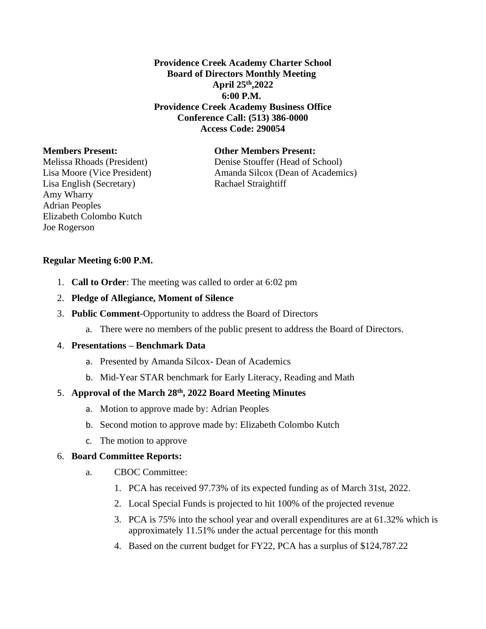**Providence Creek Academy Charter School Board of Directors Monthly Meeting April 25th,2022 6:00 P.M. Providence Creek Academy Business Office Conference Call: (513) 386-0000 Access Code: 290054**

Lisa English (Secretary) Rachael Straightiff Amy Wharry Adrian Peoples Elizabeth Colombo Kutch Joe Rogerson

## **Members Present: Other Members Present:**

Melissa Rhoads (President) Denise Stouffer (Head of School) Lisa Moore (Vice President) Amanda Silcox (Dean of Academics)

#### **Regular Meeting 6:00 P.M.**

- 1. **Call to Order**: The meeting was called to order at 6:02 pm
- 2. **Pledge of Allegiance, Moment of Silence**
- 3. **Public Comment**-Opportunity to address the Board of Directors
	- a. There were no members of the public present to address the Board of Directors.

### 4. **Presentations – Benchmark Data**

- a. Presented by Amanda Silcox- Dean of Academics
- b. Mid-Year STAR benchmark for Early Literacy, Reading and Math

## 5. **Approval of the March 28th, 2022 Board Meeting Minutes**

- a. Motion to approve made by: Adrian Peoples
- b. Second motion to approve made by: Elizabeth Colombo Kutch
- c. The motion to approve

#### 6. **Board Committee Reports:**

- a. CBOC Committee:
	- 1. PCA has received 97.73% of its expected funding as of March 31st, 2022.
	- 2. Local Special Funds is projected to hit 100% of the projected revenue
	- 3. PCA is 75% into the school year and overall expenditures are at 61.32% which is approximately 11.51% under the actual percentage for this month
	- 4. Based on the current budget for FY22, PCA has a surplus of \$124,787.22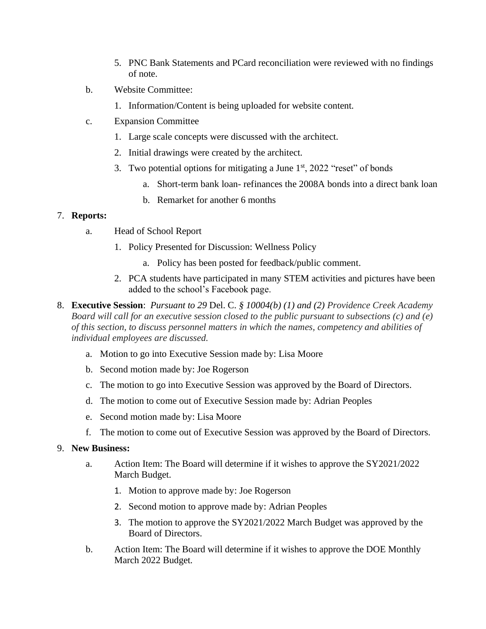- 5. PNC Bank Statements and PCard reconciliation were reviewed with no findings of note.
- b. Website Committee:
	- 1. Information/Content is being uploaded for website content.
- c. Expansion Committee
	- 1. Large scale concepts were discussed with the architect.
	- 2. Initial drawings were created by the architect.
	- 3. Two potential options for mitigating a June  $1<sup>st</sup>$ , 2022 "reset" of bonds
		- a. Short-term bank loan- refinances the 2008A bonds into a direct bank loan
		- b. Remarket for another 6 months

# 7. **Reports:**

- a. Head of School Report
	- 1. Policy Presented for Discussion: Wellness Policy
		- a. Policy has been posted for feedback/public comment.
	- 2. PCA students have participated in many STEM activities and pictures have been added to the school's Facebook page.
- 8. **Executive Session**: *Pursuant to 29* Del. C. *§ 10004(b) (1) and (2) Providence Creek Academy Board will call for an executive session closed to the public pursuant to subsections (c) and (e) of this section, to discuss personnel matters in which the names, competency and abilities of individual employees are discussed.*
	- a. Motion to go into Executive Session made by: Lisa Moore
	- b. Second motion made by: Joe Rogerson
	- c. The motion to go into Executive Session was approved by the Board of Directors.
	- d. The motion to come out of Executive Session made by: Adrian Peoples
	- e. Second motion made by: Lisa Moore
	- f. The motion to come out of Executive Session was approved by the Board of Directors.

# 9. **New Business:**

- a. Action Item: The Board will determine if it wishes to approve the SY2021/2022 March Budget.
	- 1. Motion to approve made by: Joe Rogerson
	- 2. Second motion to approve made by: Adrian Peoples
	- 3. The motion to approve the SY2021/2022 March Budget was approved by the Board of Directors.
- b. Action Item: The Board will determine if it wishes to approve the DOE Monthly March 2022 Budget.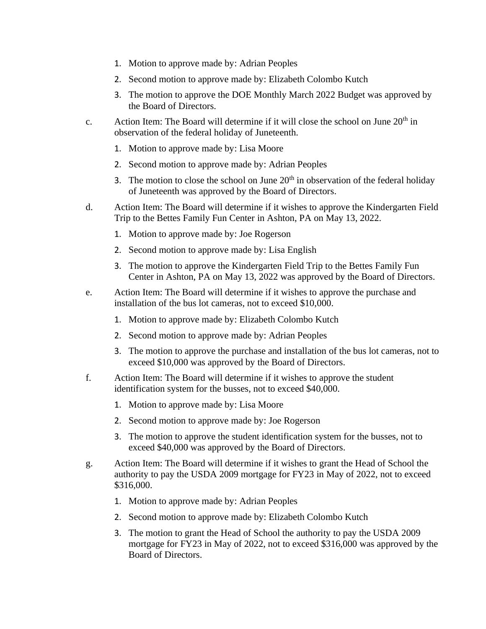- 1. Motion to approve made by: Adrian Peoples
- 2. Second motion to approve made by: Elizabeth Colombo Kutch
- 3. The motion to approve the DOE Monthly March 2022 Budget was approved by the Board of Directors.
- c. Action Item: The Board will determine if it will close the school on June  $20<sup>th</sup>$  in observation of the federal holiday of Juneteenth.
	- 1. Motion to approve made by: Lisa Moore
	- 2. Second motion to approve made by: Adrian Peoples
	- 3. The motion to close the school on June  $20<sup>th</sup>$  in observation of the federal holiday of Juneteenth was approved by the Board of Directors.
- d. Action Item: The Board will determine if it wishes to approve the Kindergarten Field Trip to the Bettes Family Fun Center in Ashton, PA on May 13, 2022.
	- 1. Motion to approve made by: Joe Rogerson
	- 2. Second motion to approve made by: Lisa English
	- 3. The motion to approve the Kindergarten Field Trip to the Bettes Family Fun Center in Ashton, PA on May 13, 2022 was approved by the Board of Directors.
- e. Action Item: The Board will determine if it wishes to approve the purchase and installation of the bus lot cameras, not to exceed \$10,000.
	- 1. Motion to approve made by: Elizabeth Colombo Kutch
	- 2. Second motion to approve made by: Adrian Peoples
	- 3. The motion to approve the purchase and installation of the bus lot cameras, not to exceed \$10,000 was approved by the Board of Directors.
- f. Action Item: The Board will determine if it wishes to approve the student identification system for the busses, not to exceed \$40,000.
	- 1. Motion to approve made by: Lisa Moore
	- 2. Second motion to approve made by: Joe Rogerson
	- 3. The motion to approve the student identification system for the busses, not to exceed \$40,000 was approved by the Board of Directors.
- g. Action Item: The Board will determine if it wishes to grant the Head of School the authority to pay the USDA 2009 mortgage for FY23 in May of 2022, not to exceed \$316,000.
	- 1. Motion to approve made by: Adrian Peoples
	- 2. Second motion to approve made by: Elizabeth Colombo Kutch
	- 3. The motion to grant the Head of School the authority to pay the USDA 2009 mortgage for FY23 in May of 2022, not to exceed \$316,000 was approved by the Board of Directors.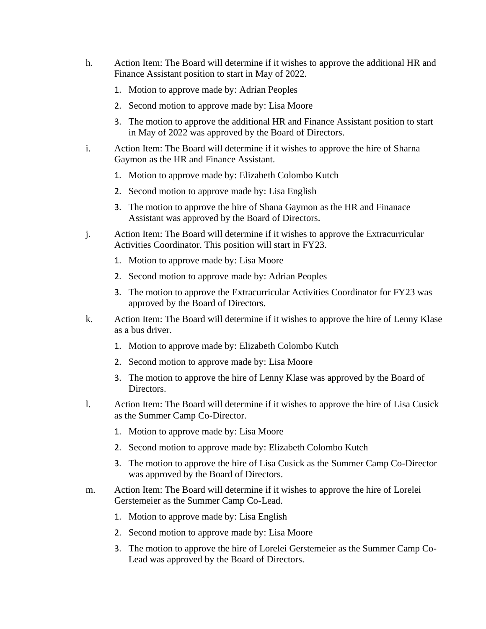- h. Action Item: The Board will determine if it wishes to approve the additional HR and Finance Assistant position to start in May of 2022.
	- 1. Motion to approve made by: Adrian Peoples
	- 2. Second motion to approve made by: Lisa Moore
	- 3. The motion to approve the additional HR and Finance Assistant position to start in May of 2022 was approved by the Board of Directors.
- i. Action Item: The Board will determine if it wishes to approve the hire of Sharna Gaymon as the HR and Finance Assistant.
	- 1. Motion to approve made by: Elizabeth Colombo Kutch
	- 2. Second motion to approve made by: Lisa English
	- 3. The motion to approve the hire of Shana Gaymon as the HR and Finanace Assistant was approved by the Board of Directors.
- j. Action Item: The Board will determine if it wishes to approve the Extracurricular Activities Coordinator. This position will start in FY23.
	- 1. Motion to approve made by: Lisa Moore
	- 2. Second motion to approve made by: Adrian Peoples
	- 3. The motion to approve the Extracurricular Activities Coordinator for FY23 was approved by the Board of Directors.
- k. Action Item: The Board will determine if it wishes to approve the hire of Lenny Klase as a bus driver.
	- 1. Motion to approve made by: Elizabeth Colombo Kutch
	- 2. Second motion to approve made by: Lisa Moore
	- 3. The motion to approve the hire of Lenny Klase was approved by the Board of Directors.
- l. Action Item: The Board will determine if it wishes to approve the hire of Lisa Cusick as the Summer Camp Co-Director.
	- 1. Motion to approve made by: Lisa Moore
	- 2. Second motion to approve made by: Elizabeth Colombo Kutch
	- 3. The motion to approve the hire of Lisa Cusick as the Summer Camp Co-Director was approved by the Board of Directors.
- m. Action Item: The Board will determine if it wishes to approve the hire of Lorelei Gerstemeier as the Summer Camp Co-Lead.
	- 1. Motion to approve made by: Lisa English
	- 2. Second motion to approve made by: Lisa Moore
	- 3. The motion to approve the hire of Lorelei Gerstemeier as the Summer Camp Co-Lead was approved by the Board of Directors.